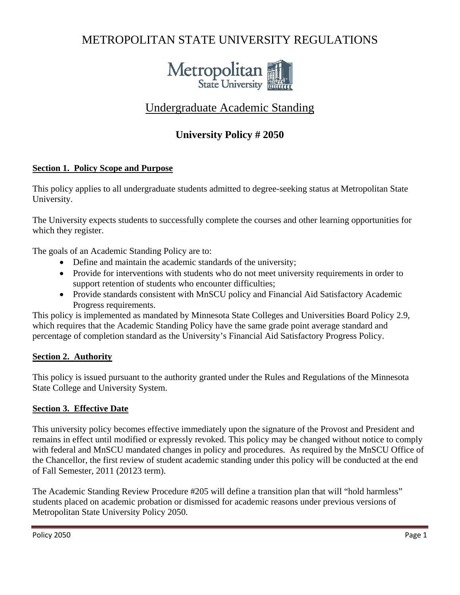# METROPOLITAN STATE UNIVERSITY REGULATIONS



## Undergraduate Academic Standing

## **University Policy # 2050**

### **Section 1. Policy Scope and Purpose**

This policy applies to all undergraduate students admitted to degree-seeking status at Metropolitan State University.

The University expects students to successfully complete the courses and other learning opportunities for which they register.

The goals of an Academic Standing Policy are to:

- Define and maintain the academic standards of the university;
- Provide for interventions with students who do not meet university requirements in order to support retention of students who encounter difficulties;
- Provide standards consistent with MnSCU policy and Financial Aid Satisfactory Academic Progress requirements.

This policy is implemented as mandated by Minnesota State Colleges and Universities Board Policy 2.9, which requires that the Academic Standing Policy have the same grade point average standard and percentage of completion standard as the University's Financial Aid Satisfactory Progress Policy.

#### **Section 2. Authority**

This policy is issued pursuant to the authority granted under the Rules and Regulations of the Minnesota State College and University System.

#### **Section 3. Effective Date**

This university policy becomes effective immediately upon the signature of the Provost and President and remains in effect until modified or expressly revoked. This policy may be changed without notice to comply with federal and MnSCU mandated changes in policy and procedures. As required by the MnSCU Office of the Chancellor, the first review of student academic standing under this policy will be conducted at the end of Fall Semester, 2011 (20123 term).

The Academic Standing Review Procedure #205 will define a transition plan that will "hold harmless" students placed on academic probation or dismissed for academic reasons under previous versions of Metropolitan State University Policy 2050.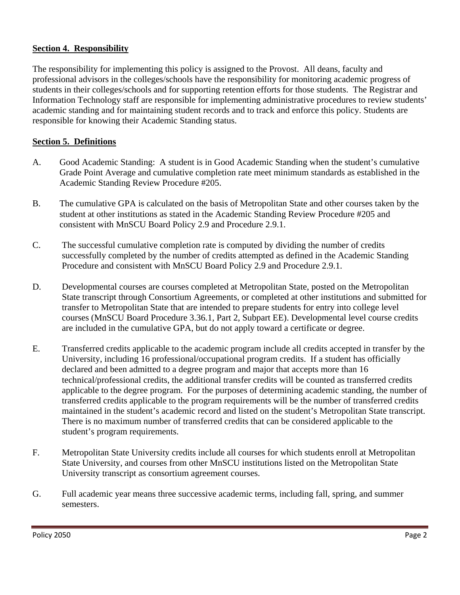#### **Section 4. Responsibility**

The responsibility for implementing this policy is assigned to the Provost. All deans, faculty and professional advisors in the colleges/schools have the responsibility for monitoring academic progress of students in their colleges/schools and for supporting retention efforts for those students. The Registrar and Information Technology staff are responsible for implementing administrative procedures to review students' academic standing and for maintaining student records and to track and enforce this policy. Students are responsible for knowing their Academic Standing status.

#### **Section 5. Definitions**

- A. Good Academic Standing: A student is in Good Academic Standing when the student's cumulative Grade Point Average and cumulative completion rate meet minimum standards as established in the Academic Standing Review Procedure #205.
- B. The cumulative GPA is calculated on the basis of Metropolitan State and other courses taken by the student at other institutions as stated in the Academic Standing Review Procedure #205 and consistent with MnSCU Board Policy 2.9 and Procedure 2.9.1.
- C. The successful cumulative completion rate is computed by dividing the number of credits successfully completed by the number of credits attempted as defined in the Academic Standing Procedure and consistent with MnSCU Board Policy 2.9 and Procedure 2.9.1.
- D. Developmental courses are courses completed at Metropolitan State, posted on the Metropolitan State transcript through Consortium Agreements, or completed at other institutions and submitted for transfer to Metropolitan State that are intended to prepare students for entry into college level courses (MnSCU Board Procedure 3.36.1, Part 2, Subpart EE). Developmental level course credits are included in the cumulative GPA, but do not apply toward a certificate or degree.
- E. Transferred credits applicable to the academic program include all credits accepted in transfer by the University, including 16 professional/occupational program credits. If a student has officially declared and been admitted to a degree program and major that accepts more than 16 technical/professional credits, the additional transfer credits will be counted as transferred credits applicable to the degree program. For the purposes of determining academic standing, the number of transferred credits applicable to the program requirements will be the number of transferred credits maintained in the student's academic record and listed on the student's Metropolitan State transcript. There is no maximum number of transferred credits that can be considered applicable to the student's program requirements.
- F. Metropolitan State University credits include all courses for which students enroll at Metropolitan State University, and courses from other MnSCU institutions listed on the Metropolitan State University transcript as consortium agreement courses.
- G. Full academic year means three successive academic terms, including fall, spring, and summer semesters.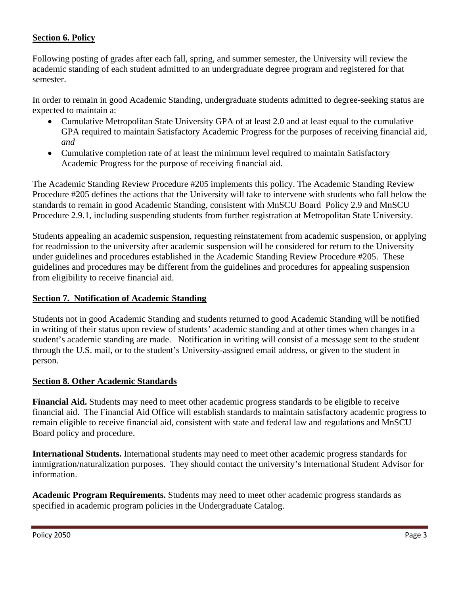## **Section 6. Policy**

Following posting of grades after each fall, spring, and summer semester, the University will review the academic standing of each student admitted to an undergraduate degree program and registered for that semester.

In order to remain in good Academic Standing, undergraduate students admitted to degree-seeking status are expected to maintain a:

- Cumulative Metropolitan State University GPA of at least 2.0 and at least equal to the cumulative GPA required to maintain Satisfactory Academic Progress for the purposes of receiving financial aid, *and*
- Cumulative completion rate of at least the minimum level required to maintain Satisfactory Academic Progress for the purpose of receiving financial aid.

The Academic Standing Review Procedure #205 implements this policy. The Academic Standing Review Procedure #205 defines the actions that the University will take to intervene with students who fall below the standards to remain in good Academic Standing, consistent with MnSCU Board Policy 2.9 and MnSCU Procedure 2.9.1, including suspending students from further registration at Metropolitan State University.

Students appealing an academic suspension, requesting reinstatement from academic suspension, or applying for readmission to the university after academic suspension will be considered for return to the University under guidelines and procedures established in the Academic Standing Review Procedure #205. These guidelines and procedures may be different from the guidelines and procedures for appealing suspension from eligibility to receive financial aid.

#### **Section 7. Notification of Academic Standing**

Students not in good Academic Standing and students returned to good Academic Standing will be notified in writing of their status upon review of students' academic standing and at other times when changes in a student's academic standing are made. Notification in writing will consist of a message sent to the student through the U.S. mail, or to the student's University-assigned email address, or given to the student in person.

#### **Section 8. Other Academic Standards**

**Financial Aid.** Students may need to meet other academic progress standards to be eligible to receive financial aid. The Financial Aid Office will establish standards to maintain satisfactory academic progress to remain eligible to receive financial aid, consistent with state and federal law and regulations and MnSCU Board policy and procedure.

**International Students.** International students may need to meet other academic progress standards for immigration/naturalization purposes. They should contact the university's International Student Advisor for information.

**Academic Program Requirements.** Students may need to meet other academic progress standards as specified in academic program policies in the Undergraduate Catalog.